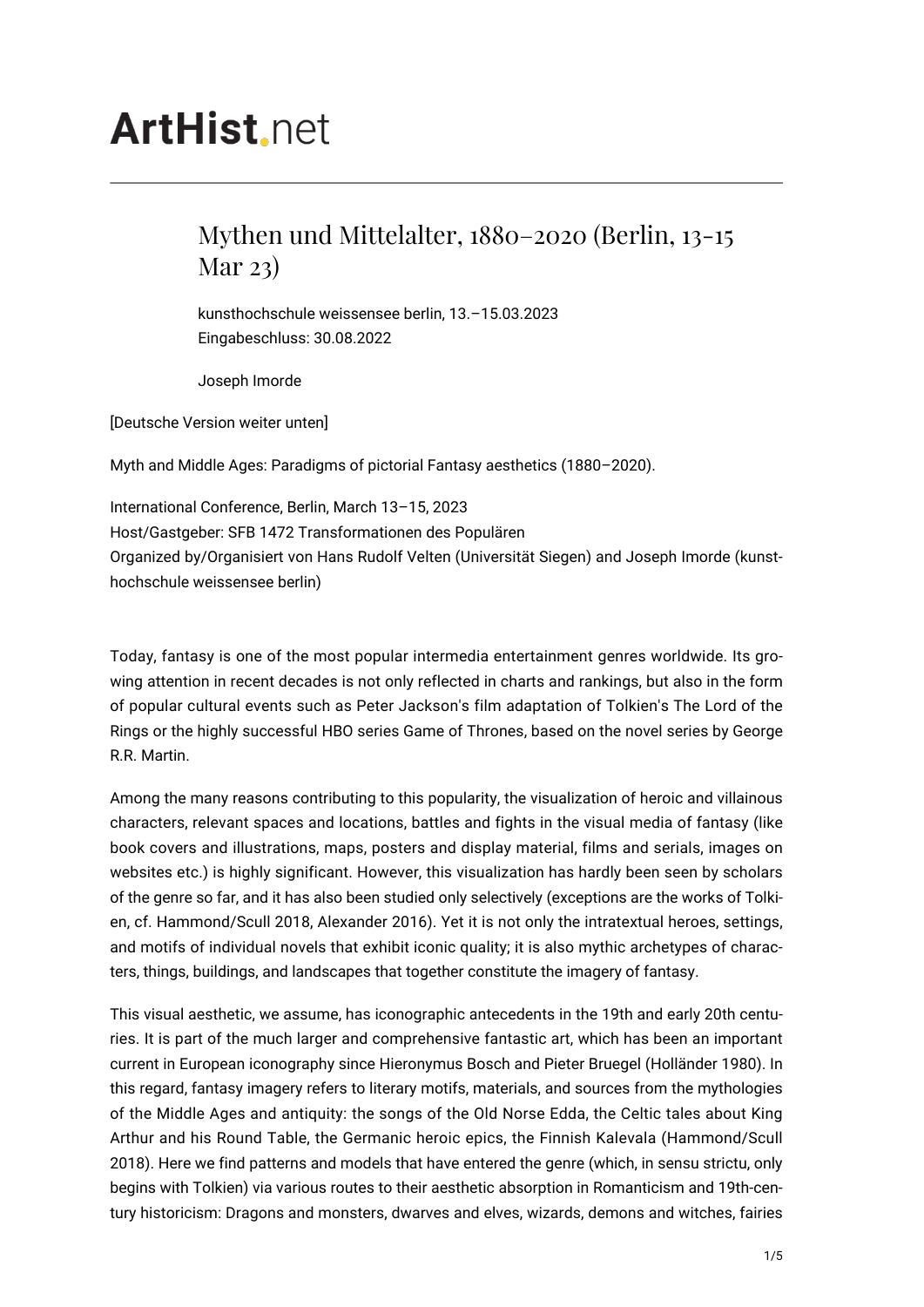## **ArtHist**, net

## Mythen und Mittelalter, 1880–2020 (Berlin, 13-15 Mar 23)

kunsthochschule weissensee berlin, 13.–15.03.2023 Eingabeschluss: 30.08.2022

Joseph Imorde

[Deutsche Version weiter unten]

Myth and Middle Ages: Paradigms of pictorial Fantasy aesthetics (1880–2020).

International Conference, Berlin, March 13–15, 2023 Host/Gastgeber: SFB 1472 Transformationen des Populären Organized by/Organisiert von Hans Rudolf Velten (Universität Siegen) and Joseph Imorde (kunsthochschule weissensee berlin)

Today, fantasy is one of the most popular intermedia entertainment genres worldwide. Its growing attention in recent decades is not only reflected in charts and rankings, but also in the form of popular cultural events such as Peter Jackson's film adaptation of Tolkien's The Lord of the Rings or the highly successful HBO series Game of Thrones, based on the novel series by George R.R. Martin.

Among the many reasons contributing to this popularity, the visualization of heroic and villainous characters, relevant spaces and locations, battles and fights in the visual media of fantasy (like book covers and illustrations, maps, posters and display material, films and serials, images on websites etc.) is highly significant. However, this visualization has hardly been seen by scholars of the genre so far, and it has also been studied only selectively (exceptions are the works of Tolkien, cf. Hammond/Scull 2018, Alexander 2016). Yet it is not only the intratextual heroes, settings, and motifs of individual novels that exhibit iconic quality; it is also mythic archetypes of characters, things, buildings, and landscapes that together constitute the imagery of fantasy.

This visual aesthetic, we assume, has iconographic antecedents in the 19th and early 20th centuries. It is part of the much larger and comprehensive fantastic art, which has been an important current in European iconography since Hieronymus Bosch and Pieter Bruegel (Holländer 1980). In this regard, fantasy imagery refers to literary motifs, materials, and sources from the mythologies of the Middle Ages and antiquity: the songs of the Old Norse Edda, the Celtic tales about King Arthur and his Round Table, the Germanic heroic epics, the Finnish Kalevala (Hammond/Scull 2018). Here we find patterns and models that have entered the genre (which, in sensu strictu, only begins with Tolkien) via various routes to their aesthetic absorption in Romanticism and 19th-century historicism: Dragons and monsters, dwarves and elves, wizards, demons and witches, fairies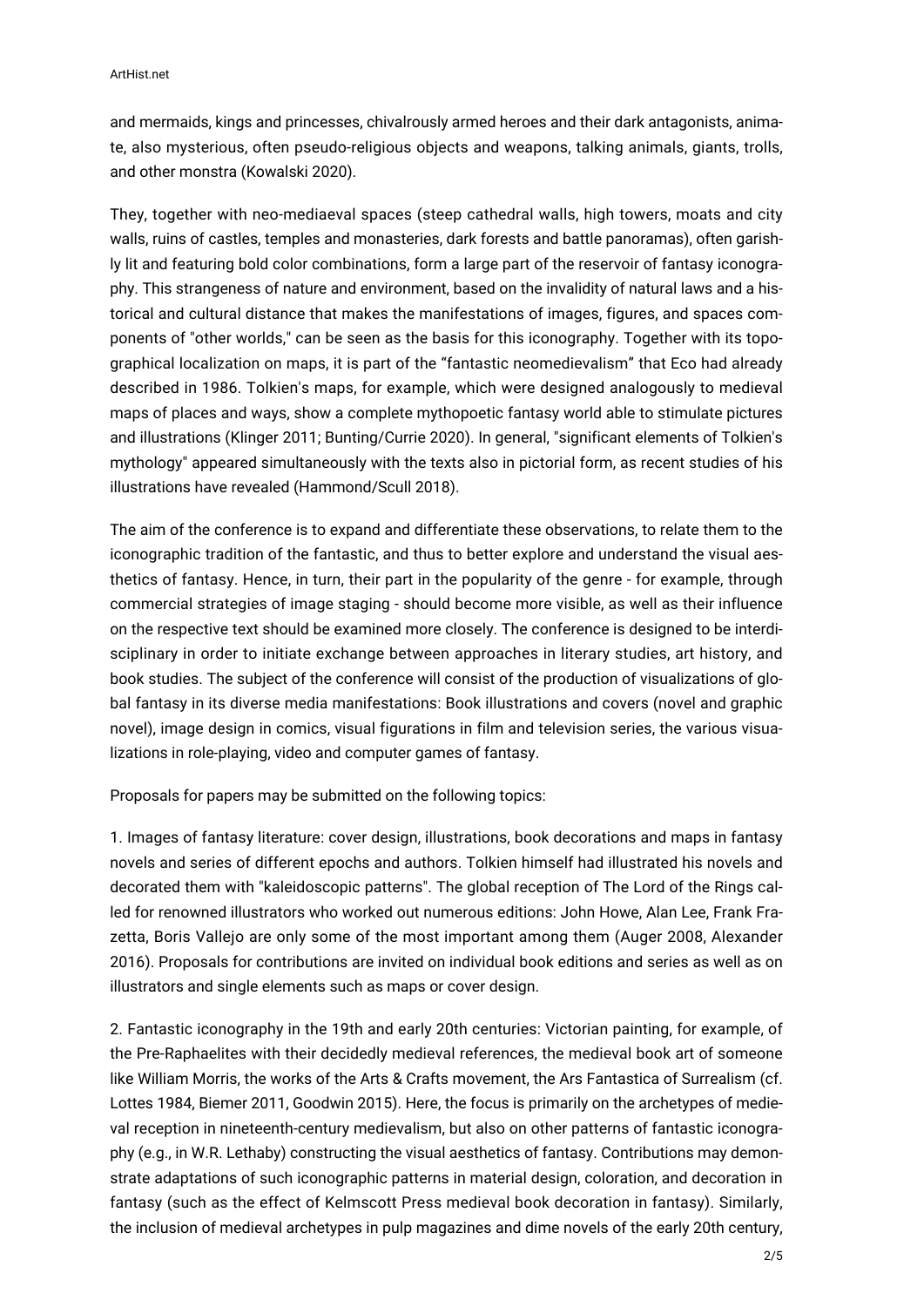and mermaids, kings and princesses, chivalrously armed heroes and their dark antagonists, animate, also mysterious, often pseudo-religious objects and weapons, talking animals, giants, trolls, and other monstra (Kowalski 2020).

They, together with neo-mediaeval spaces (steep cathedral walls, high towers, moats and city walls, ruins of castles, temples and monasteries, dark forests and battle panoramas), often garishly lit and featuring bold color combinations, form a large part of the reservoir of fantasy iconography. This strangeness of nature and environment, based on the invalidity of natural laws and a historical and cultural distance that makes the manifestations of images, figures, and spaces components of "other worlds," can be seen as the basis for this iconography. Together with its topographical localization on maps, it is part of the "fantastic neomedievalism" that Eco had already described in 1986. Tolkien's maps, for example, which were designed analogously to medieval maps of places and ways, show a complete mythopoetic fantasy world able to stimulate pictures and illustrations (Klinger 2011; Bunting/Currie 2020). In general, "significant elements of Tolkien's mythology" appeared simultaneously with the texts also in pictorial form, as recent studies of his illustrations have revealed (Hammond/Scull 2018).

The aim of the conference is to expand and differentiate these observations, to relate them to the iconographic tradition of the fantastic, and thus to better explore and understand the visual aesthetics of fantasy. Hence, in turn, their part in the popularity of the genre - for example, through commercial strategies of image staging - should become more visible, as well as their influence on the respective text should be examined more closely. The conference is designed to be interdisciplinary in order to initiate exchange between approaches in literary studies, art history, and book studies. The subject of the conference will consist of the production of visualizations of global fantasy in its diverse media manifestations: Book illustrations and covers (novel and graphic novel), image design in comics, visual figurations in film and television series, the various visualizations in role-playing, video and computer games of fantasy.

Proposals for papers may be submitted on the following topics:

1. Images of fantasy literature: cover design, illustrations, book decorations and maps in fantasy novels and series of different epochs and authors. Tolkien himself had illustrated his novels and decorated them with "kaleidoscopic patterns". The global reception of The Lord of the Rings called for renowned illustrators who worked out numerous editions: John Howe, Alan Lee, Frank Frazetta, Boris Vallejo are only some of the most important among them (Auger 2008, Alexander 2016). Proposals for contributions are invited on individual book editions and series as well as on illustrators and single elements such as maps or cover design.

2. Fantastic iconography in the 19th and early 20th centuries: Victorian painting, for example, of the Pre-Raphaelites with their decidedly medieval references, the medieval book art of someone like William Morris, the works of the Arts & Crafts movement, the Ars Fantastica of Surrealism (cf. Lottes 1984, Biemer 2011, Goodwin 2015). Here, the focus is primarily on the archetypes of medieval reception in nineteenth-century medievalism, but also on other patterns of fantastic iconography (e.g., in W.R. Lethaby) constructing the visual aesthetics of fantasy. Contributions may demonstrate adaptations of such iconographic patterns in material design, coloration, and decoration in fantasy (such as the effect of Kelmscott Press medieval book decoration in fantasy). Similarly, the inclusion of medieval archetypes in pulp magazines and dime novels of the early 20th century,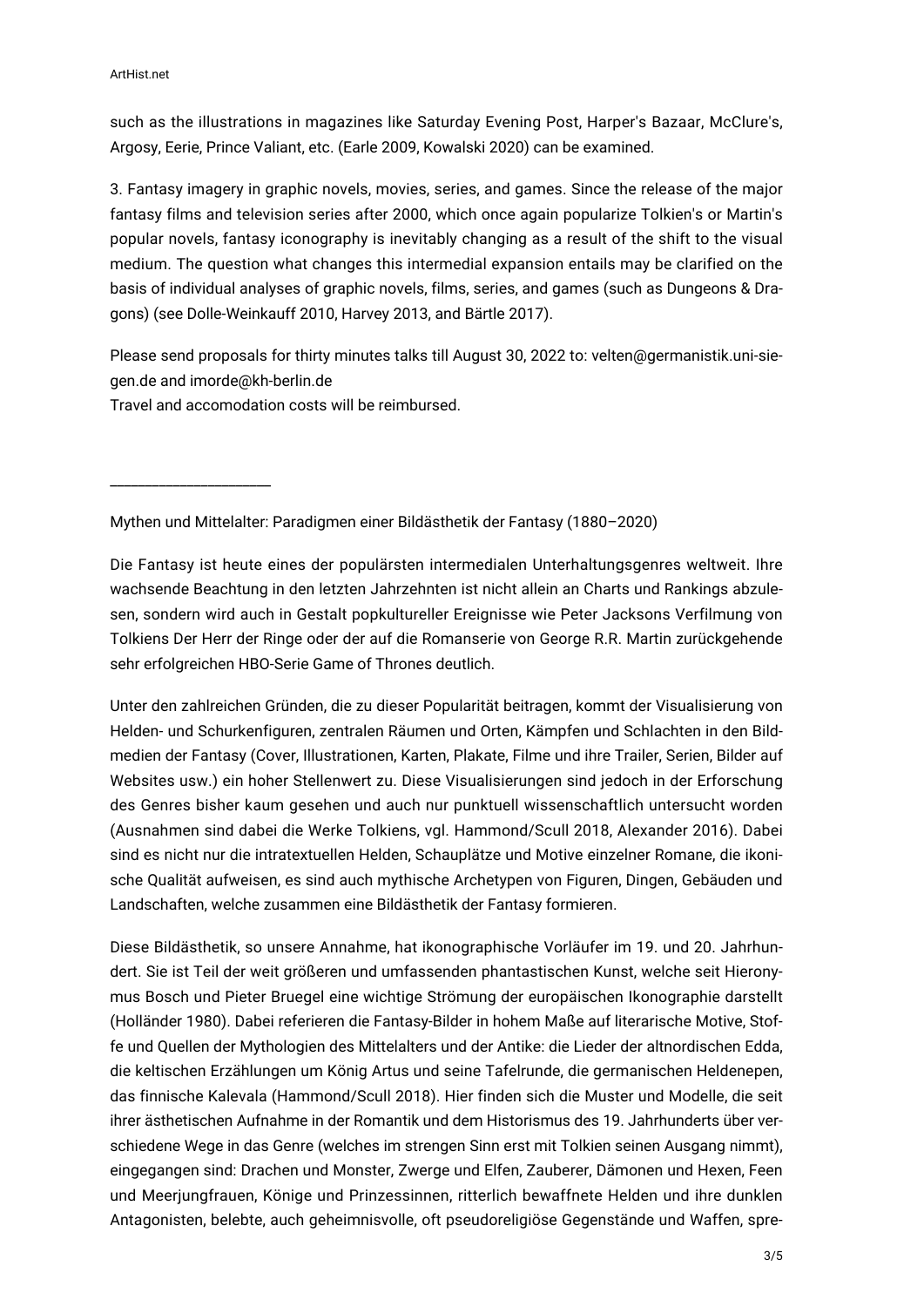such as the illustrations in magazines like Saturday Evening Post, Harper's Bazaar, McClure's, Argosy, Eerie, Prince Valiant, etc. (Earle 2009, Kowalski 2020) can be examined.

3. Fantasy imagery in graphic novels, movies, series, and games. Since the release of the major fantasy films and television series after 2000, which once again popularize Tolkien's or Martin's popular novels, fantasy iconography is inevitably changing as a result of the shift to the visual medium. The question what changes this intermedial expansion entails may be clarified on the basis of individual analyses of graphic novels, films, series, and games (such as Dungeons & Dragons) (see Dolle-Weinkauff 2010, Harvey 2013, and Bärtle 2017).

Please send proposals for thirty minutes talks till August 30, 2022 to: velten@germanistik.uni-siegen.de and imorde@kh-berlin.de

Travel and accomodation costs will be reimbursed.

\_\_\_\_\_\_\_\_\_\_\_\_\_\_\_\_\_\_\_\_\_\_\_

Mythen und Mittelalter: Paradigmen einer Bildästhetik der Fantasy (1880–2020)

Die Fantasy ist heute eines der populärsten intermedialen Unterhaltungsgenres weltweit. Ihre wachsende Beachtung in den letzten Jahrzehnten ist nicht allein an Charts und Rankings abzulesen, sondern wird auch in Gestalt popkultureller Ereignisse wie Peter Jacksons Verfilmung von Tolkiens Der Herr der Ringe oder der auf die Romanserie von George R.R. Martin zurückgehende sehr erfolgreichen HBO-Serie Game of Thrones deutlich.

Unter den zahlreichen Gründen, die zu dieser Popularität beitragen, kommt der Visualisierung von Helden- und Schurkenfiguren, zentralen Räumen und Orten, Kämpfen und Schlachten in den Bildmedien der Fantasy (Cover, Illustrationen, Karten, Plakate, Filme und ihre Trailer, Serien, Bilder auf Websites usw.) ein hoher Stellenwert zu. Diese Visualisierungen sind jedoch in der Erforschung des Genres bisher kaum gesehen und auch nur punktuell wissenschaftlich untersucht worden (Ausnahmen sind dabei die Werke Tolkiens, vgl. Hammond/Scull 2018, Alexander 2016). Dabei sind es nicht nur die intratextuellen Helden, Schauplätze und Motive einzelner Romane, die ikonische Qualität aufweisen, es sind auch mythische Archetypen von Figuren, Dingen, Gebäuden und Landschaften, welche zusammen eine Bildästhetik der Fantasy formieren.

Diese Bildästhetik, so unsere Annahme, hat ikonographische Vorläufer im 19. und 20. Jahrhundert. Sie ist Teil der weit größeren und umfassenden phantastischen Kunst, welche seit Hieronymus Bosch und Pieter Bruegel eine wichtige Strömung der europäischen Ikonographie darstellt (Holländer 1980). Dabei referieren die Fantasy-Bilder in hohem Maße auf literarische Motive, Stoffe und Quellen der Mythologien des Mittelalters und der Antike: die Lieder der altnordischen Edda, die keltischen Erzählungen um König Artus und seine Tafelrunde, die germanischen Heldenepen, das finnische Kalevala (Hammond/Scull 2018). Hier finden sich die Muster und Modelle, die seit ihrer ästhetischen Aufnahme in der Romantik und dem Historismus des 19. Jahrhunderts über verschiedene Wege in das Genre (welches im strengen Sinn erst mit Tolkien seinen Ausgang nimmt), eingegangen sind: Drachen und Monster, Zwerge und Elfen, Zauberer, Dämonen und Hexen, Feen und Meerjungfrauen, Könige und Prinzessinnen, ritterlich bewaffnete Helden und ihre dunklen Antagonisten, belebte, auch geheimnisvolle, oft pseudoreligiöse Gegenstände und Waffen, spre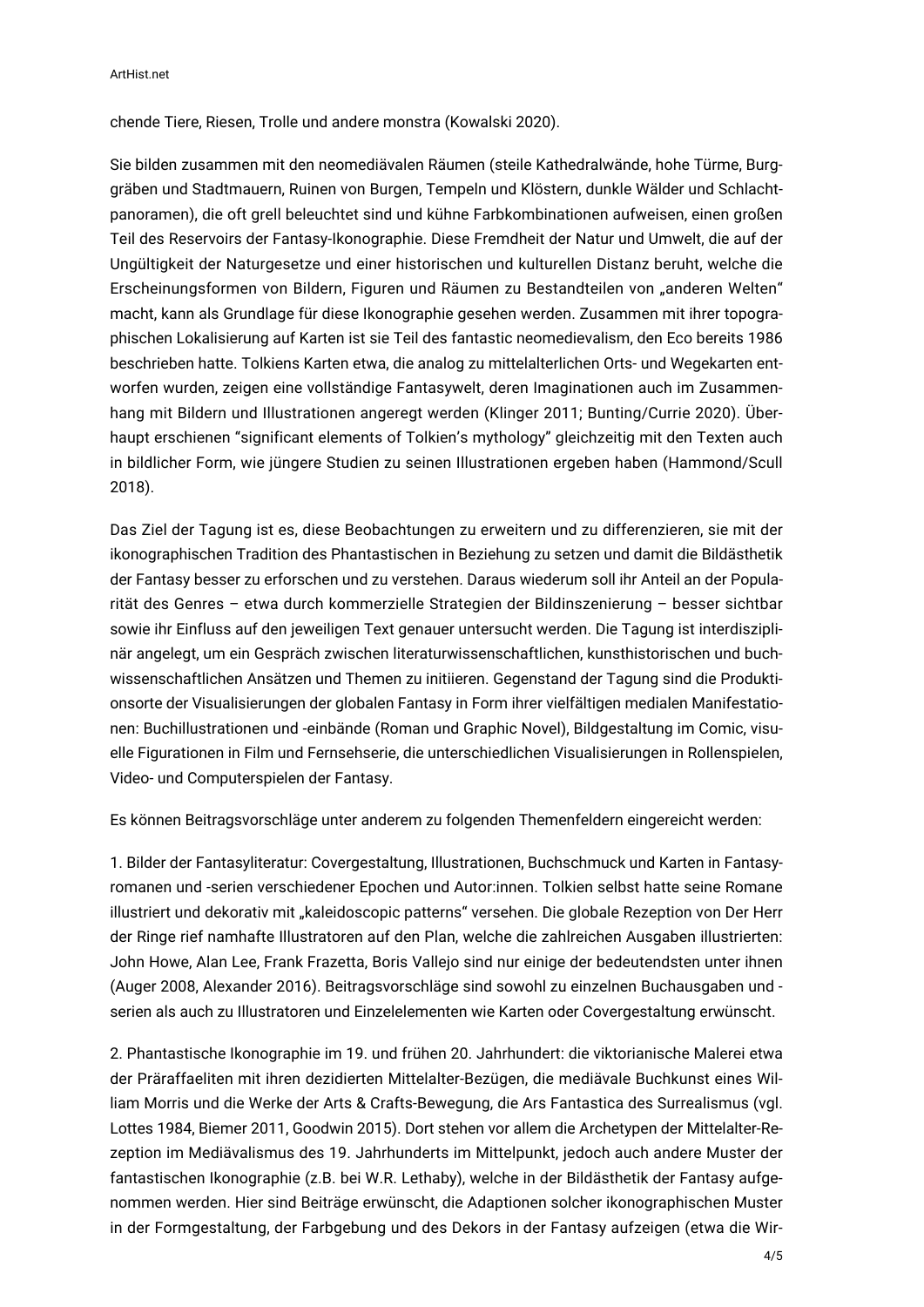chende Tiere, Riesen, Trolle und andere monstra (Kowalski 2020).

Sie bilden zusammen mit den neomediävalen Räumen (steile Kathedralwände, hohe Türme, Burggräben und Stadtmauern, Ruinen von Burgen, Tempeln und Klöstern, dunkle Wälder und Schlachtpanoramen), die oft grell beleuchtet sind und kühne Farbkombinationen aufweisen, einen großen Teil des Reservoirs der Fantasy-Ikonographie. Diese Fremdheit der Natur und Umwelt, die auf der Ungültigkeit der Naturgesetze und einer historischen und kulturellen Distanz beruht, welche die Erscheinungsformen von Bildern, Figuren und Räumen zu Bestandteilen von "anderen Welten" macht, kann als Grundlage für diese Ikonographie gesehen werden. Zusammen mit ihrer topographischen Lokalisierung auf Karten ist sie Teil des fantastic neomedievalism, den Eco bereits 1986 beschrieben hatte. Tolkiens Karten etwa, die analog zu mittelalterlichen Orts- und Wegekarten entworfen wurden, zeigen eine vollständige Fantasywelt, deren Imaginationen auch im Zusammenhang mit Bildern und Illustrationen angeregt werden (Klinger 2011; Bunting/Currie 2020). Überhaupt erschienen "significant elements of Tolkien's mythology" gleichzeitig mit den Texten auch in bildlicher Form, wie jüngere Studien zu seinen Illustrationen ergeben haben (Hammond/Scull 2018).

Das Ziel der Tagung ist es, diese Beobachtungen zu erweitern und zu differenzieren, sie mit der ikonographischen Tradition des Phantastischen in Beziehung zu setzen und damit die Bildästhetik der Fantasy besser zu erforschen und zu verstehen. Daraus wiederum soll ihr Anteil an der Popularität des Genres – etwa durch kommerzielle Strategien der Bildinszenierung – besser sichtbar sowie ihr Einfluss auf den jeweiligen Text genauer untersucht werden. Die Tagung ist interdisziplinär angelegt, um ein Gespräch zwischen literaturwissenschaftlichen, kunsthistorischen und buchwissenschaftlichen Ansätzen und Themen zu initiieren. Gegenstand der Tagung sind die Produktionsorte der Visualisierungen der globalen Fantasy in Form ihrer vielfältigen medialen Manifestationen: Buchillustrationen und -einbände (Roman und Graphic Novel), Bildgestaltung im Comic, visuelle Figurationen in Film und Fernsehserie, die unterschiedlichen Visualisierungen in Rollenspielen, Video- und Computerspielen der Fantasy.

Es können Beitragsvorschläge unter anderem zu folgenden Themenfeldern eingereicht werden:

1. Bilder der Fantasyliteratur: Covergestaltung, Illustrationen, Buchschmuck und Karten in Fantasyromanen und -serien verschiedener Epochen und Autor:innen. Tolkien selbst hatte seine Romane illustriert und dekorativ mit "kaleidoscopic patterns" versehen. Die globale Rezeption von Der Herr der Ringe rief namhafte Illustratoren auf den Plan, welche die zahlreichen Ausgaben illustrierten: John Howe, Alan Lee, Frank Frazetta, Boris Vallejo sind nur einige der bedeutendsten unter ihnen (Auger 2008, Alexander 2016). Beitragsvorschläge sind sowohl zu einzelnen Buchausgaben und serien als auch zu Illustratoren und Einzelelementen wie Karten oder Covergestaltung erwünscht.

2. Phantastische Ikonographie im 19. und frühen 20. Jahrhundert: die viktorianische Malerei etwa der Präraffaeliten mit ihren dezidierten Mittelalter-Bezügen, die mediävale Buchkunst eines William Morris und die Werke der Arts & Crafts-Bewegung, die Ars Fantastica des Surrealismus (vgl. Lottes 1984, Biemer 2011, Goodwin 2015). Dort stehen vor allem die Archetypen der Mittelalter-Rezeption im Mediävalismus des 19. Jahrhunderts im Mittelpunkt, jedoch auch andere Muster der fantastischen Ikonographie (z.B. bei W.R. Lethaby), welche in der Bildästhetik der Fantasy aufgenommen werden. Hier sind Beiträge erwünscht, die Adaptionen solcher ikonographischen Muster in der Formgestaltung, der Farbgebung und des Dekors in der Fantasy aufzeigen (etwa die Wir-